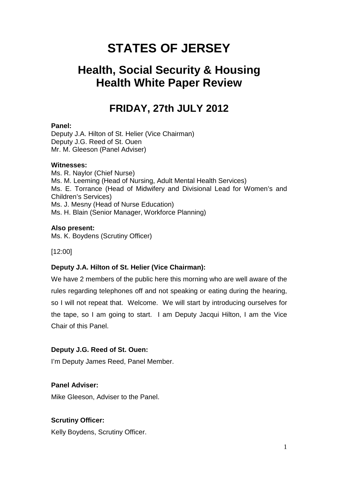# **STATES OF JERSEY**

# **Health, Social Security & Housing Health White Paper Review**

# **FRIDAY, 27th JULY 2012**

## **Panel:**

Deputy J.A. Hilton of St. Helier (Vice Chairman) Deputy J.G. Reed of St. Ouen Mr. M. Gleeson (Panel Adviser)

## **Witnesses:**

Ms. R. Naylor (Chief Nurse) Ms. M. Leeming (Head of Nursing, Adult Mental Health Services) Ms. E. Torrance (Head of Midwifery and Divisional Lead for Women's and Children's Services) Ms. J. Mesny (Head of Nurse Education) Ms. H. Blain (Senior Manager, Workforce Planning)

## **Also present:**

Ms. K. Boydens (Scrutiny Officer)

[12:00]

## **Deputy J.A. Hilton of St. Helier (Vice Chairman):**

We have 2 members of the public here this morning who are well aware of the rules regarding telephones off and not speaking or eating during the hearing, so I will not repeat that. Welcome. We will start by introducing ourselves for the tape, so I am going to start. I am Deputy Jacqui Hilton, I am the Vice Chair of this Panel.

## **Deputy J.G. Reed of St. Ouen:**

I'm Deputy James Reed, Panel Member.

## **Panel Adviser:**

Mike Gleeson, Adviser to the Panel.

## **Scrutiny Officer:**

Kelly Boydens, Scrutiny Officer.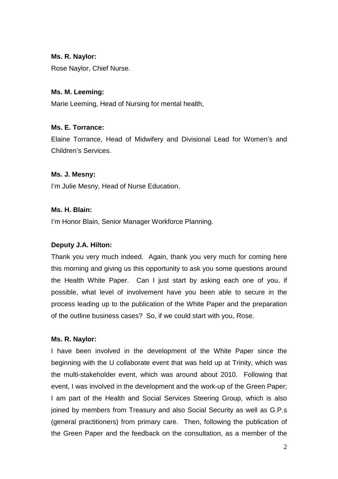## **Ms. R. Naylor:**

Rose Naylor, Chief Nurse.

# **Ms. M. Leeming:**

Marie Leeming, Head of Nursing for mental health,

## **Ms. E. Torrance:**

Elaine Torrance, Head of Midwifery and Divisional Lead for Women's and Children's Services.

## **Ms. J. Mesny:**

I'm Julie Mesny, Head of Nurse Education.

## **Ms. H. Blain:**

I'm Honor Blain, Senior Manager Workforce Planning.

# **Deputy J.A. Hilton:**

Thank you very much indeed. Again, thank you very much for coming here this morning and giving us this opportunity to ask you some questions around the Health White Paper. Can I just start by asking each one of you, if possible, what level of involvement have you been able to secure in the process leading up to the publication of the White Paper and the preparation of the outline business cases? So, if we could start with you, Rose.

# **Ms. R. Naylor:**

I have been involved in the development of the White Paper since the beginning with the U collaborate event that was held up at Trinity, which was the multi-stakeholder event, which was around about 2010. Following that event, I was involved in the development and the work-up of the Green Paper; I am part of the Health and Social Services Steering Group, which is also joined by members from Treasury and also Social Security as well as G.P.s (general practitioners) from primary care. Then, following the publication of the Green Paper and the feedback on the consultation, as a member of the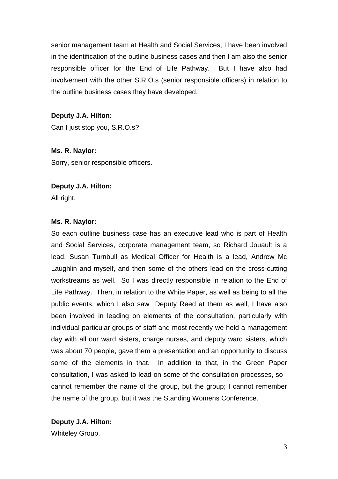senior management team at Health and Social Services, I have been involved in the identification of the outline business cases and then I am also the senior responsible officer for the End of Life Pathway. But I have also had involvement with the other S.R.O.s (senior responsible officers) in relation to the outline business cases they have developed.

# **Deputy J.A. Hilton:**

Can I just stop you, S.R.O.s?

**Ms. R. Naylor:** Sorry, senior responsible officers.

## **Deputy J.A. Hilton:**

All right.

## **Ms. R. Naylor:**

So each outline business case has an executive lead who is part of Health and Social Services, corporate management team, so Richard Jouault is a lead, Susan Turnbull as Medical Officer for Health is a lead, Andrew Mc Laughlin and myself, and then some of the others lead on the cross-cutting workstreams as well. So I was directly responsible in relation to the End of Life Pathway. Then, in relation to the White Paper, as well as being to all the public events, which I also saw Deputy Reed at them as well, I have also been involved in leading on elements of the consultation, particularly with individual particular groups of staff and most recently we held a management day with all our ward sisters, charge nurses, and deputy ward sisters, which was about 70 people, gave them a presentation and an opportunity to discuss some of the elements in that. In addition to that, in the Green Paper consultation, I was asked to lead on some of the consultation processes, so I cannot remember the name of the group, but the group; I cannot remember the name of the group, but it was the Standing Womens Conference.

**Deputy J.A. Hilton:** Whiteley Group.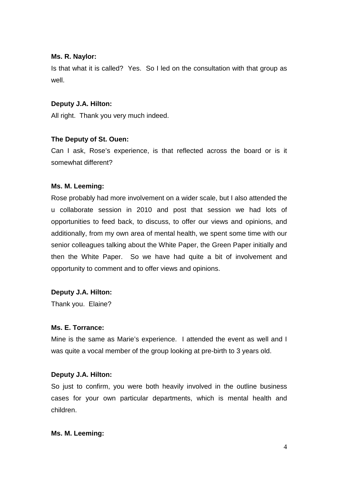#### **Ms. R. Naylor:**

Is that what it is called? Yes. So I led on the consultation with that group as well.

#### **Deputy J.A. Hilton:**

All right. Thank you very much indeed.

#### **The Deputy of St. Ouen:**

Can I ask, Rose's experience, is that reflected across the board or is it somewhat different?

#### **Ms. M. Leeming:**

Rose probably had more involvement on a wider scale, but I also attended the u collaborate session in 2010 and post that session we had lots of opportunities to feed back, to discuss, to offer our views and opinions, and additionally, from my own area of mental health, we spent some time with our senior colleagues talking about the White Paper, the Green Paper initially and then the White Paper. So we have had quite a bit of involvement and opportunity to comment and to offer views and opinions.

## **Deputy J.A. Hilton:**

Thank you. Elaine?

#### **Ms. E. Torrance:**

Mine is the same as Marie's experience. I attended the event as well and I was quite a vocal member of the group looking at pre-birth to 3 years old.

## **Deputy J.A. Hilton:**

So just to confirm, you were both heavily involved in the outline business cases for your own particular departments, which is mental health and children.

#### **Ms. M. Leeming:**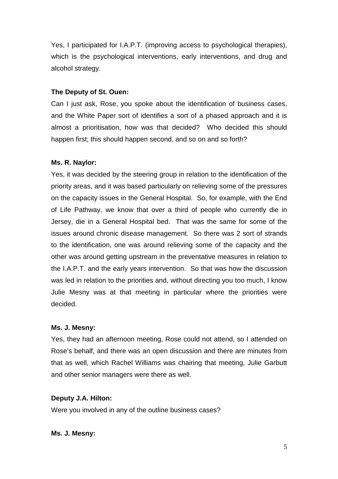Yes, I participated for I.A.P.T. (improving access to psychological therapies), which is the psychological interventions, early interventions, and drug and alcohol strategy.

## **The Deputy of St. Ouen:**

Can I just ask, Rose, you spoke about the identification of business cases, and the White Paper sort of identifies a sort of a phased approach and it is almost a prioritisation, how was that decided? Who decided this should happen first; this should happen second, and so on and so forth?

## **Ms. R. Naylor:**

Yes, it was decided by the steering group in relation to the identification of the priority areas, and it was based particularly on relieving some of the pressures on the capacity issues in the General Hospital. So, for example, with the End of Life Pathway, we know that over a third of people who currently die in Jersey, die in a General Hospital bed. That was the same for some of the issues around chronic disease management. So there was 2 sort of strands to the identification, one was around relieving some of the capacity and the other was around getting upstream in the preventative measures in relation to the I.A.P.T. and the early years intervention. So that was how the discussion was led in relation to the priorities and, without directing you too much, I know Julie Mesny was at that meeting in particular where the priorities were decided.

## **Ms. J. Mesny:**

Yes, they had an afternoon meeting, Rose could not attend, so I attended on Rose's behalf, and there was an open discussion and there are minutes from that as well, which Rachel Williams was chairing that meeting, Julie Garbutt and other senior managers were there as well.

# **Deputy J.A. Hilton:**

Were you involved in any of the outline business cases?

## **Ms. J. Mesny:**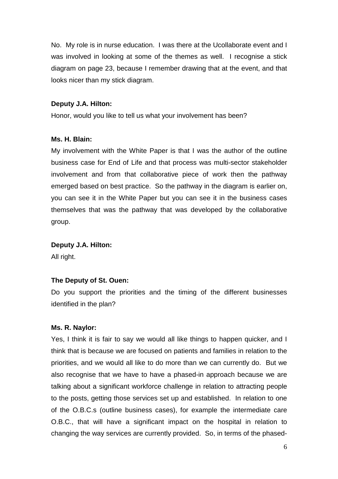No. My role is in nurse education. I was there at the Ucollaborate event and I was involved in looking at some of the themes as well. I recognise a stick diagram on page 23, because I remember drawing that at the event, and that looks nicer than my stick diagram.

#### **Deputy J.A. Hilton:**

Honor, would you like to tell us what your involvement has been?

#### **Ms. H. Blain:**

My involvement with the White Paper is that I was the author of the outline business case for End of Life and that process was multi-sector stakeholder involvement and from that collaborative piece of work then the pathway emerged based on best practice. So the pathway in the diagram is earlier on, you can see it in the White Paper but you can see it in the business cases themselves that was the pathway that was developed by the collaborative group.

#### **Deputy J.A. Hilton:**

All right.

#### **The Deputy of St. Ouen:**

Do you support the priorities and the timing of the different businesses identified in the plan?

#### **Ms. R. Naylor:**

Yes, I think it is fair to say we would all like things to happen quicker, and I think that is because we are focused on patients and families in relation to the priorities, and we would all like to do more than we can currently do. But we also recognise that we have to have a phased-in approach because we are talking about a significant workforce challenge in relation to attracting people to the posts, getting those services set up and established. In relation to one of the O.B.C.s (outline business cases), for example the intermediate care O.B.C., that will have a significant impact on the hospital in relation to changing the way services are currently provided. So, in terms of the phased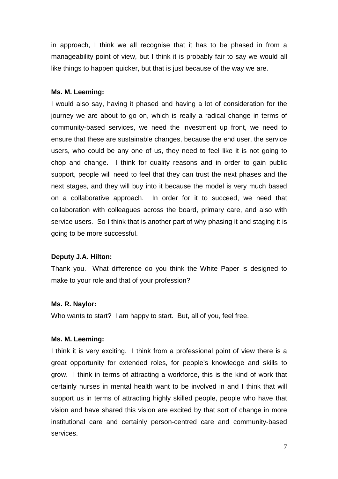in approach, I think we all recognise that it has to be phased in from a manageability point of view, but I think it is probably fair to say we would all like things to happen quicker, but that is just because of the way we are.

#### **Ms. M. Leeming:**

I would also say, having it phased and having a lot of consideration for the journey we are about to go on, which is really a radical change in terms of community-based services, we need the investment up front, we need to ensure that these are sustainable changes, because the end user, the service users, who could be any one of us, they need to feel like it is not going to chop and change. I think for quality reasons and in order to gain public support, people will need to feel that they can trust the next phases and the next stages, and they will buy into it because the model is very much based on a collaborative approach. In order for it to succeed, we need that collaboration with colleagues across the board, primary care, and also with service users. So I think that is another part of why phasing it and staging it is going to be more successful.

## **Deputy J.A. Hilton:**

Thank you. What difference do you think the White Paper is designed to make to your role and that of your profession?

#### **Ms. R. Naylor:**

Who wants to start? I am happy to start. But, all of you, feel free.

#### **Ms. M. Leeming:**

I think it is very exciting. I think from a professional point of view there is a great opportunity for extended roles, for people's knowledge and skills to grow. I think in terms of attracting a workforce, this is the kind of work that certainly nurses in mental health want to be involved in and I think that will support us in terms of attracting highly skilled people, people who have that vision and have shared this vision are excited by that sort of change in more institutional care and certainly person-centred care and community-based services.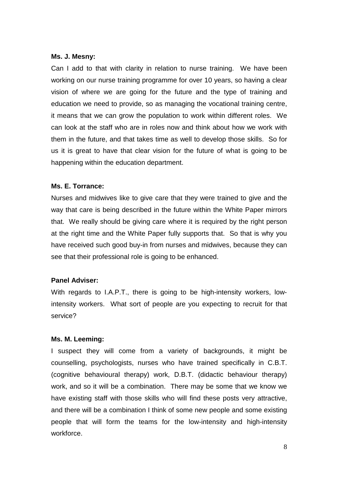#### **Ms. J. Mesny:**

Can I add to that with clarity in relation to nurse training. We have been working on our nurse training programme for over 10 years, so having a clear vision of where we are going for the future and the type of training and education we need to provide, so as managing the vocational training centre, it means that we can grow the population to work within different roles. We can look at the staff who are in roles now and think about how we work with them in the future, and that takes time as well to develop those skills. So for us it is great to have that clear vision for the future of what is going to be happening within the education department.

## **Ms. E. Torrance:**

Nurses and midwives like to give care that they were trained to give and the way that care is being described in the future within the White Paper mirrors that. We really should be giving care where it is required by the right person at the right time and the White Paper fully supports that. So that is why you have received such good buy-in from nurses and midwives, because they can see that their professional role is going to be enhanced.

## **Panel Adviser:**

With regards to I.A.P.T., there is going to be high-intensity workers, lowintensity workers. What sort of people are you expecting to recruit for that service?

# **Ms. M. Leeming:**

I suspect they will come from a variety of backgrounds, it might be counselling, psychologists, nurses who have trained specifically in C.B.T. (cognitive behavioural therapy) work, D.B.T. (didactic behaviour therapy) work, and so it will be a combination. There may be some that we know we have existing staff with those skills who will find these posts very attractive, and there will be a combination I think of some new people and some existing people that will form the teams for the low-intensity and high-intensity workforce.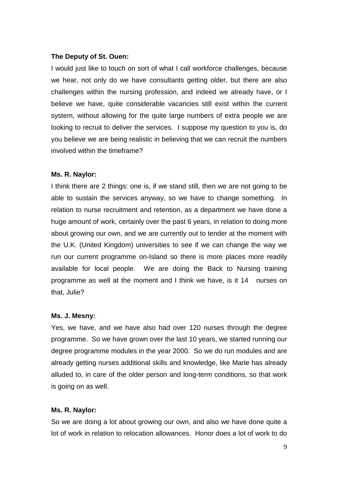#### **The Deputy of St. Ouen:**

I would just like to touch on sort of what I call workforce challenges, because we hear, not only do we have consultants getting older, but there are also challenges within the nursing profession, and indeed we already have, or I believe we have, quite considerable vacancies still exist within the current system, without allowing for the quite large numbers of extra people we are looking to recruit to deliver the services. I suppose my question to you is, do you believe we are being realistic in believing that we can recruit the numbers involved within the timeframe?

#### **Ms. R. Naylor:**

I think there are 2 things: one is, if we stand still, then we are not going to be able to sustain the services anyway, so we have to change something. In relation to nurse recruitment and retention, as a department we have done a huge amount of work, certainly over the past 6 years, in relation to doing more about growing our own, and we are currently out to tender at the moment with the U.K. (United Kingdom) universities to see if we can change the way we run our current programme on-Island so there is more places more readily available for local people. We are doing the Back to Nursing training programme as well at the moment and I think we have, is it 14 nurses on that, Julie?

#### **Ms. J. Mesny:**

Yes, we have, and we have also had over 120 nurses through the degree programme. So we have grown over the last 10 years, we started running our degree programme modules in the year 2000. So we do run modules and are already getting nurses additional skills and knowledge, like Marie has already alluded to, in care of the older person and long-term conditions, so that work is going on as well.

#### **Ms. R. Naylor:**

So we are doing a lot about growing our own, and also we have done quite a lot of work in relation to relocation allowances. Honor does a lot of work to do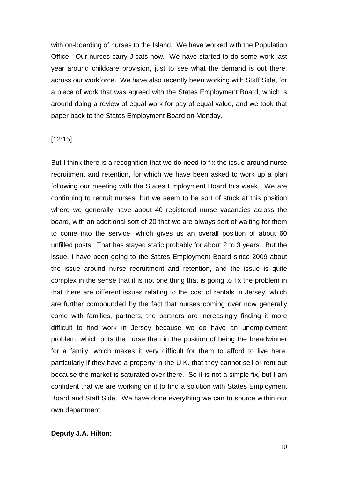with on-boarding of nurses to the Island. We have worked with the Population Office. Our nurses carry J-cats now. We have started to do some work last year around childcare provision, just to see what the demand is out there, across our workforce. We have also recently been working with Staff Side, for a piece of work that was agreed with the States Employment Board, which is around doing a review of equal work for pay of equal value, and we took that paper back to the States Employment Board on Monday.

#### [12:15]

But I think there is a recognition that we do need to fix the issue around nurse recruitment and retention, for which we have been asked to work up a plan following our meeting with the States Employment Board this week. We are continuing to recruit nurses, but we seem to be sort of stuck at this position where we generally have about 40 registered nurse vacancies across the board, with an additional sort of 20 that we are always sort of waiting for them to come into the service, which gives us an overall position of about 60 unfilled posts. That has stayed static probably for about 2 to 3 years. But the issue, I have been going to the States Employment Board since 2009 about the issue around nurse recruitment and retention, and the issue is quite complex in the sense that it is not one thing that is going to fix the problem in that there are different issues relating to the cost of rentals in Jersey, which are further compounded by the fact that nurses coming over now generally come with families, partners, the partners are increasingly finding it more difficult to find work in Jersey because we do have an unemployment problem, which puts the nurse then in the position of being the breadwinner for a family, which makes it very difficult for them to afford to live here, particularly if they have a property in the U.K. that they cannot sell or rent out because the market is saturated over there. So it is not a simple fix, but I am confident that we are working on it to find a solution with States Employment Board and Staff Side. We have done everything we can to source within our own department.

#### **Deputy J.A. Hilton:**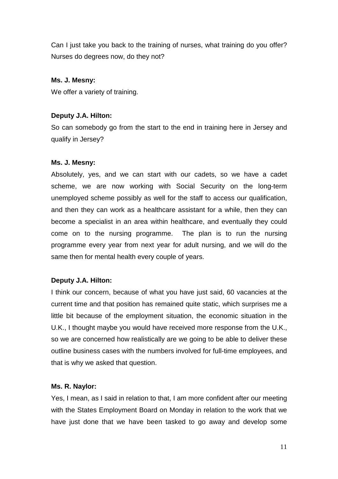Can I just take you back to the training of nurses, what training do you offer? Nurses do degrees now, do they not?

# **Ms. J. Mesny:**

We offer a variety of training.

# **Deputy J.A. Hilton:**

So can somebody go from the start to the end in training here in Jersey and qualify in Jersey?

## **Ms. J. Mesny:**

Absolutely, yes, and we can start with our cadets, so we have a cadet scheme, we are now working with Social Security on the long-term unemployed scheme possibly as well for the staff to access our qualification, and then they can work as a healthcare assistant for a while, then they can become a specialist in an area within healthcare, and eventually they could come on to the nursing programme. The plan is to run the nursing programme every year from next year for adult nursing, and we will do the same then for mental health every couple of years.

# **Deputy J.A. Hilton:**

I think our concern, because of what you have just said, 60 vacancies at the current time and that position has remained quite static, which surprises me a little bit because of the employment situation, the economic situation in the U.K., I thought maybe you would have received more response from the U.K., so we are concerned how realistically are we going to be able to deliver these outline business cases with the numbers involved for full-time employees, and that is why we asked that question.

# **Ms. R. Naylor:**

Yes, I mean, as I said in relation to that, I am more confident after our meeting with the States Employment Board on Monday in relation to the work that we have just done that we have been tasked to go away and develop some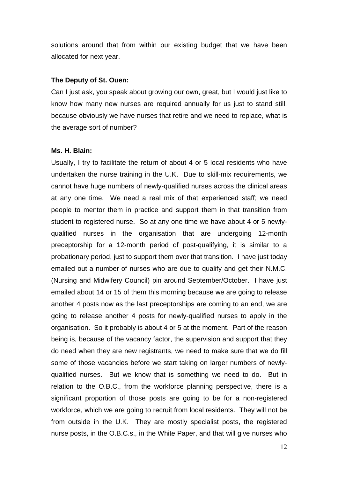solutions around that from within our existing budget that we have been allocated for next year.

#### **The Deputy of St. Ouen:**

Can I just ask, you speak about growing our own, great, but I would just like to know how many new nurses are required annually for us just to stand still, because obviously we have nurses that retire and we need to replace, what is the average sort of number?

#### **Ms. H. Blain:**

Usually, I try to facilitate the return of about 4 or 5 local residents who have undertaken the nurse training in the U.K. Due to skill-mix requirements, we cannot have huge numbers of newly-qualified nurses across the clinical areas at any one time. We need a real mix of that experienced staff; we need people to mentor them in practice and support them in that transition from student to registered nurse. So at any one time we have about 4 or 5 newlyqualified nurses in the organisation that are undergoing 12-month preceptorship for a 12-month period of post-qualifying, it is similar to a probationary period, just to support them over that transition. I have just today emailed out a number of nurses who are due to qualify and get their N.M.C. (Nursing and Midwifery Council) pin around September/October. I have just emailed about 14 or 15 of them this morning because we are going to release another 4 posts now as the last preceptorships are coming to an end, we are going to release another 4 posts for newly-qualified nurses to apply in the organisation. So it probably is about 4 or 5 at the moment. Part of the reason being is, because of the vacancy factor, the supervision and support that they do need when they are new registrants, we need to make sure that we do fill some of those vacancies before we start taking on larger numbers of newlyqualified nurses. But we know that is something we need to do. But in relation to the O.B.C., from the workforce planning perspective, there is a significant proportion of those posts are going to be for a non-registered workforce, which we are going to recruit from local residents. They will not be from outside in the U.K. They are mostly specialist posts, the registered nurse posts, in the O.B.C.s., in the White Paper, and that will give nurses who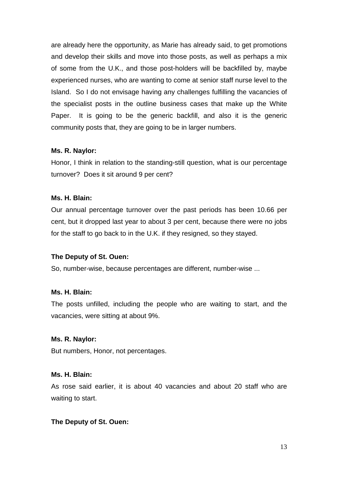are already here the opportunity, as Marie has already said, to get promotions and develop their skills and move into those posts, as well as perhaps a mix of some from the U.K., and those post-holders will be backfilled by, maybe experienced nurses, who are wanting to come at senior staff nurse level to the Island. So I do not envisage having any challenges fulfilling the vacancies of the specialist posts in the outline business cases that make up the White Paper. It is going to be the generic backfill, and also it is the generic community posts that, they are going to be in larger numbers.

## **Ms. R. Naylor:**

Honor, I think in relation to the standing-still question, what is our percentage turnover? Does it sit around 9 per cent?

#### **Ms. H. Blain:**

Our annual percentage turnover over the past periods has been 10.66 per cent, but it dropped last year to about 3 per cent, because there were no jobs for the staff to go back to in the U.K. if they resigned, so they stayed.

## **The Deputy of St. Ouen:**

So, number-wise, because percentages are different, number-wise ...

#### **Ms. H. Blain:**

The posts unfilled, including the people who are waiting to start, and the vacancies, were sitting at about 9%.

#### **Ms. R. Naylor:**

But numbers, Honor, not percentages.

#### **Ms. H. Blain:**

As rose said earlier, it is about 40 vacancies and about 20 staff who are waiting to start.

#### **The Deputy of St. Ouen:**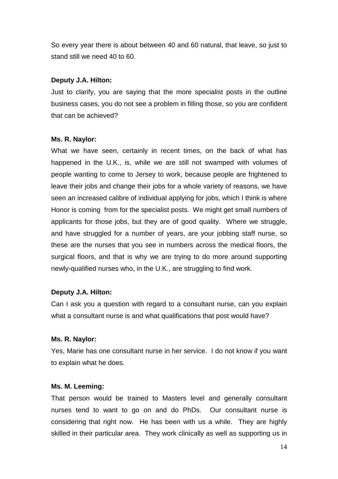So every year there is about between 40 and 60 natural, that leave, so just to stand still we need 40 to 60.

## **Deputy J.A. Hilton:**

Just to clarify, you are saying that the more specialist posts in the outline business cases, you do not see a problem in filling those, so you are confident that can be achieved?

## **Ms. R. Naylor:**

What we have seen, certainly in recent times, on the back of what has happened in the U.K., is, while we are still not swamped with volumes of people wanting to come to Jersey to work, because people are frightened to leave their jobs and change their jobs for a whole variety of reasons, we have seen an increased calibre of individual applying for jobs, which I think is where Honor is coming from for the specialist posts. We might get small numbers of applicants for those jobs, but they are of good quality. Where we struggle, and have struggled for a number of years, are your jobbing staff nurse, so these are the nurses that you see in numbers across the medical floors, the surgical floors, and that is why we are trying to do more around supporting newly-qualified nurses who, in the U.K., are struggling to find work.

# **Deputy J.A. Hilton:**

Can I ask you a question with regard to a consultant nurse, can you explain what a consultant nurse is and what qualifications that post would have?

# **Ms. R. Naylor:**

Yes, Marie has one consultant nurse in her service. I do not know if you want to explain what he does.

## **Ms. M. Leeming:**

That person would be trained to Masters level and generally consultant nurses tend to want to go on and do PhDs. Our consultant nurse is considering that right now. He has been with us a while. They are highly skilled in their particular area. They work clinically as well as supporting us in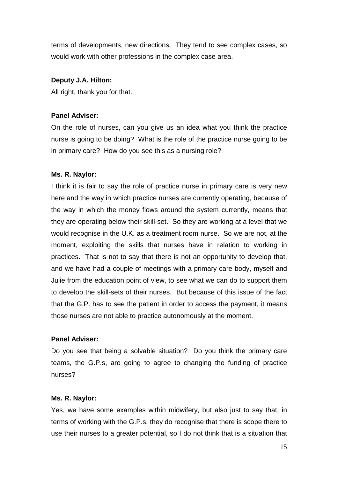terms of developments, new directions. They tend to see complex cases, so would work with other professions in the complex case area.

#### **Deputy J.A. Hilton:**

All right, thank you for that.

#### **Panel Adviser:**

On the role of nurses, can you give us an idea what you think the practice nurse is going to be doing? What is the role of the practice nurse going to be in primary care? How do you see this as a nursing role?

#### **Ms. R. Naylor:**

I think it is fair to say the role of practice nurse in primary care is very new here and the way in which practice nurses are currently operating, because of the way in which the money flows around the system currently, means that they are operating below their skill-set. So they are working at a level that we would recognise in the U.K. as a treatment room nurse. So we are not, at the moment, exploiting the skills that nurses have in relation to working in practices. That is not to say that there is not an opportunity to develop that, and we have had a couple of meetings with a primary care body, myself and Julie from the education point of view, to see what we can do to support them to develop the skill-sets of their nurses. But because of this issue of the fact that the G.P. has to see the patient in order to access the payment, it means those nurses are not able to practice autonomously at the moment.

## **Panel Adviser:**

Do you see that being a solvable situation? Do you think the primary care teams, the G.P.s, are going to agree to changing the funding of practice nurses?

#### **Ms. R. Naylor:**

Yes, we have some examples within midwifery, but also just to say that, in terms of working with the G.P.s, they do recognise that there is scope there to use their nurses to a greater potential, so I do not think that is a situation that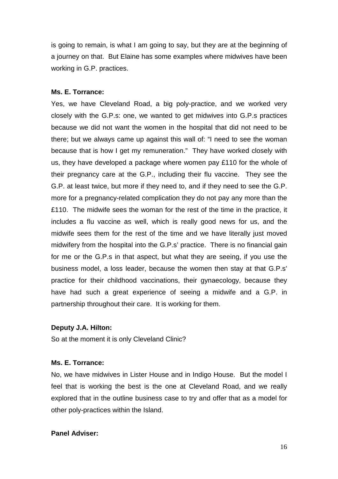is going to remain, is what I am going to say, but they are at the beginning of a journey on that. But Elaine has some examples where midwives have been working in G.P. practices.

#### **Ms. E. Torrance:**

Yes, we have Cleveland Road, a big poly-practice, and we worked very closely with the G.P.s: one, we wanted to get midwives into G.P.s practices because we did not want the women in the hospital that did not need to be there; but we always came up against this wall of: "I need to see the woman because that is how I get my remuneration." They have worked closely with us, they have developed a package where women pay £110 for the whole of their pregnancy care at the G.P., including their flu vaccine. They see the G.P. at least twice, but more if they need to, and if they need to see the G.P. more for a pregnancy-related complication they do not pay any more than the £110. The midwife sees the woman for the rest of the time in the practice, it includes a flu vaccine as well, which is really good news for us, and the midwife sees them for the rest of the time and we have literally just moved midwifery from the hospital into the G.P.s' practice. There is no financial gain for me or the G.P.s in that aspect, but what they are seeing, if you use the business model, a loss leader, because the women then stay at that G.P.s' practice for their childhood vaccinations, their gynaecology, because they have had such a great experience of seeing a midwife and a G.P. in partnership throughout their care. It is working for them.

#### **Deputy J.A. Hilton:**

So at the moment it is only Cleveland Clinic?

#### **Ms. E. Torrance:**

No, we have midwives in Lister House and in Indigo House. But the model I feel that is working the best is the one at Cleveland Road, and we really explored that in the outline business case to try and offer that as a model for other poly-practices within the Island.

#### **Panel Adviser:**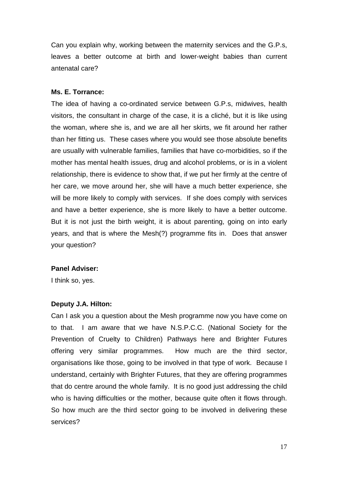Can you explain why, working between the maternity services and the G.P.s, leaves a better outcome at birth and lower-weight babies than current antenatal care?

#### **Ms. E. Torrance:**

The idea of having a co-ordinated service between G.P.s, midwives, health visitors, the consultant in charge of the case, it is a cliché, but it is like using the woman, where she is, and we are all her skirts, we fit around her rather than her fitting us. These cases where you would see those absolute benefits are usually with vulnerable families, families that have co-morbidities, so if the mother has mental health issues, drug and alcohol problems, or is in a violent relationship, there is evidence to show that, if we put her firmly at the centre of her care, we move around her, she will have a much better experience, she will be more likely to comply with services. If she does comply with services and have a better experience, she is more likely to have a better outcome. But it is not just the birth weight, it is about parenting, going on into early years, and that is where the Mesh(?) programme fits in. Does that answer your question?

#### **Panel Adviser:**

I think so, yes.

#### **Deputy J.A. Hilton:**

Can I ask you a question about the Mesh programme now you have come on to that. I am aware that we have N.S.P.C.C. (National Society for the Prevention of Cruelty to Children) Pathways here and Brighter Futures offering very similar programmes. How much are the third sector, organisations like those, going to be involved in that type of work. Because I understand, certainly with Brighter Futures, that they are offering programmes that do centre around the whole family. It is no good just addressing the child who is having difficulties or the mother, because quite often it flows through. So how much are the third sector going to be involved in delivering these services?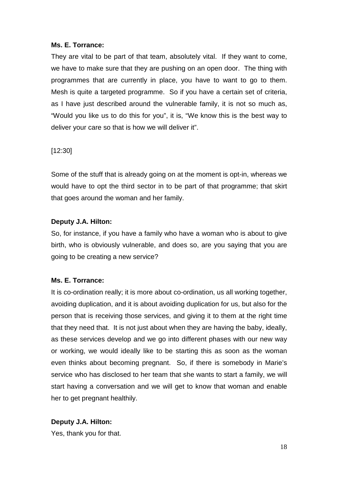#### **Ms. E. Torrance:**

They are vital to be part of that team, absolutely vital. If they want to come, we have to make sure that they are pushing on an open door. The thing with programmes that are currently in place, you have to want to go to them. Mesh is quite a targeted programme. So if you have a certain set of criteria, as I have just described around the vulnerable family, it is not so much as, "Would you like us to do this for you", it is, "We know this is the best way to deliver your care so that is how we will deliver it".

## [12:30]

Some of the stuff that is already going on at the moment is opt-in, whereas we would have to opt the third sector in to be part of that programme; that skirt that goes around the woman and her family.

## **Deputy J.A. Hilton:**

So, for instance, if you have a family who have a woman who is about to give birth, who is obviously vulnerable, and does so, are you saying that you are going to be creating a new service?

## **Ms. E. Torrance:**

It is co-ordination really; it is more about co-ordination, us all working together, avoiding duplication, and it is about avoiding duplication for us, but also for the person that is receiving those services, and giving it to them at the right time that they need that. It is not just about when they are having the baby, ideally, as these services develop and we go into different phases with our new way or working, we would ideally like to be starting this as soon as the woman even thinks about becoming pregnant. So, if there is somebody in Marie's service who has disclosed to her team that she wants to start a family, we will start having a conversation and we will get to know that woman and enable her to get pregnant healthily.

# **Deputy J.A. Hilton:**

Yes, thank you for that.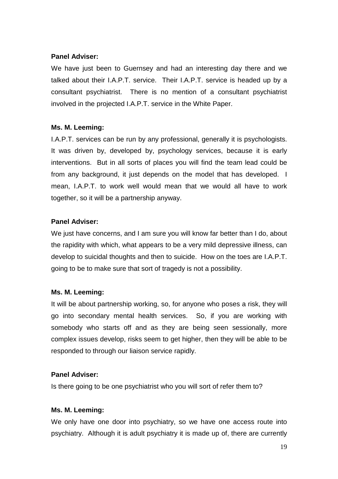# **Panel Adviser:**

We have just been to Guernsey and had an interesting day there and we talked about their I.A.P.T. service. Their I.A.P.T. service is headed up by a consultant psychiatrist. There is no mention of a consultant psychiatrist involved in the projected I.A.P.T. service in the White Paper.

## **Ms. M. Leeming:**

I.A.P.T. services can be run by any professional, generally it is psychologists. It was driven by, developed by, psychology services, because it is early interventions. But in all sorts of places you will find the team lead could be from any background, it just depends on the model that has developed. I mean, I.A.P.T. to work well would mean that we would all have to work together, so it will be a partnership anyway.

## **Panel Adviser:**

We just have concerns, and I am sure you will know far better than I do, about the rapidity with which, what appears to be a very mild depressive illness, can develop to suicidal thoughts and then to suicide. How on the toes are I.A.P.T. going to be to make sure that sort of tragedy is not a possibility.

## **Ms. M. Leeming:**

It will be about partnership working, so, for anyone who poses a risk, they will go into secondary mental health services. So, if you are working with somebody who starts off and as they are being seen sessionally, more complex issues develop, risks seem to get higher, then they will be able to be responded to through our liaison service rapidly.

# **Panel Adviser:**

Is there going to be one psychiatrist who you will sort of refer them to?

## **Ms. M. Leeming:**

We only have one door into psychiatry, so we have one access route into psychiatry. Although it is adult psychiatry it is made up of, there are currently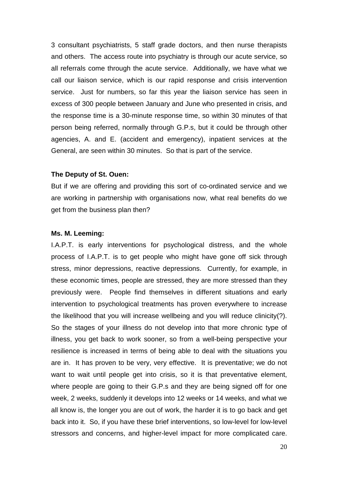3 consultant psychiatrists, 5 staff grade doctors, and then nurse therapists and others. The access route into psychiatry is through our acute service, so all referrals come through the acute service. Additionally, we have what we call our liaison service, which is our rapid response and crisis intervention service. Just for numbers, so far this year the liaison service has seen in excess of 300 people between January and June who presented in crisis, and the response time is a 30-minute response time, so within 30 minutes of that person being referred, normally through G.P.s, but it could be through other agencies, A. and E. (accident and emergency), inpatient services at the General, are seen within 30 minutes. So that is part of the service.

#### **The Deputy of St. Ouen:**

But if we are offering and providing this sort of co-ordinated service and we are working in partnership with organisations now, what real benefits do we get from the business plan then?

#### **Ms. M. Leeming:**

I.A.P.T. is early interventions for psychological distress, and the whole process of I.A.P.T. is to get people who might have gone off sick through stress, minor depressions, reactive depressions. Currently, for example, in these economic times, people are stressed, they are more stressed than they previously were. People find themselves in different situations and early intervention to psychological treatments has proven everywhere to increase the likelihood that you will increase wellbeing and you will reduce clinicity(?). So the stages of your illness do not develop into that more chronic type of illness, you get back to work sooner, so from a well-being perspective your resilience is increased in terms of being able to deal with the situations you are in. It has proven to be very, very effective. It is preventative; we do not want to wait until people get into crisis, so it is that preventative element, where people are going to their G.P.s and they are being signed off for one week, 2 weeks, suddenly it develops into 12 weeks or 14 weeks, and what we all know is, the longer you are out of work, the harder it is to go back and get back into it. So, if you have these brief interventions, so low-level for low-level stressors and concerns, and higher-level impact for more complicated care.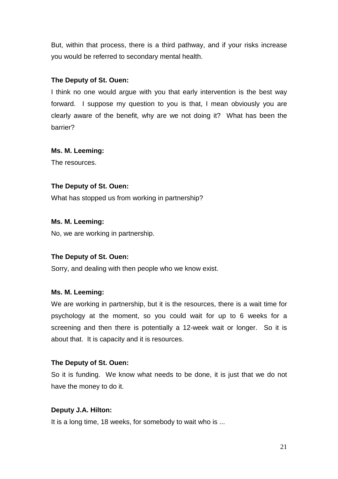But, within that process, there is a third pathway, and if your risks increase you would be referred to secondary mental health.

## **The Deputy of St. Ouen:**

I think no one would argue with you that early intervention is the best way forward. I suppose my question to you is that, I mean obviously you are clearly aware of the benefit, why are we not doing it? What has been the barrier?

## **Ms. M. Leeming:**

The resources.

# **The Deputy of St. Ouen:**

What has stopped us from working in partnership?

## **Ms. M. Leeming:**

No, we are working in partnership.

# **The Deputy of St. Ouen:**

Sorry, and dealing with then people who we know exist.

## **Ms. M. Leeming:**

We are working in partnership, but it is the resources, there is a wait time for psychology at the moment, so you could wait for up to 6 weeks for a screening and then there is potentially a 12-week wait or longer. So it is about that. It is capacity and it is resources.

# **The Deputy of St. Ouen:**

So it is funding. We know what needs to be done, it is just that we do not have the money to do it.

## **Deputy J.A. Hilton:**

It is a long time, 18 weeks, for somebody to wait who is ...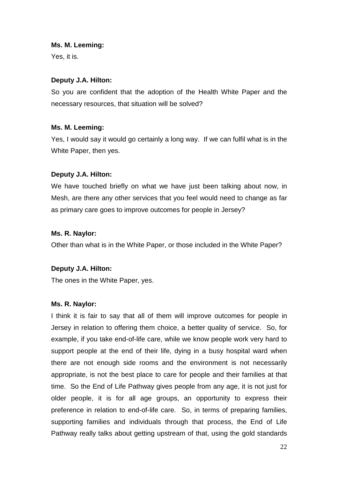**Ms. M. Leeming:**

Yes, it is.

## **Deputy J.A. Hilton:**

So you are confident that the adoption of the Health White Paper and the necessary resources, that situation will be solved?

## **Ms. M. Leeming:**

Yes, I would say it would go certainly a long way. If we can fulfil what is in the White Paper, then yes.

## **Deputy J.A. Hilton:**

We have touched briefly on what we have just been talking about now, in Mesh, are there any other services that you feel would need to change as far as primary care goes to improve outcomes for people in Jersey?

## **Ms. R. Naylor:**

Other than what is in the White Paper, or those included in the White Paper?

## **Deputy J.A. Hilton:**

The ones in the White Paper, yes.

## **Ms. R. Naylor:**

I think it is fair to say that all of them will improve outcomes for people in Jersey in relation to offering them choice, a better quality of service. So, for example, if you take end-of-life care, while we know people work very hard to support people at the end of their life, dying in a busy hospital ward when there are not enough side rooms and the environment is not necessarily appropriate, is not the best place to care for people and their families at that time. So the End of Life Pathway gives people from any age, it is not just for older people, it is for all age groups, an opportunity to express their preference in relation to end-of-life care. So, in terms of preparing families, supporting families and individuals through that process, the End of Life Pathway really talks about getting upstream of that, using the gold standards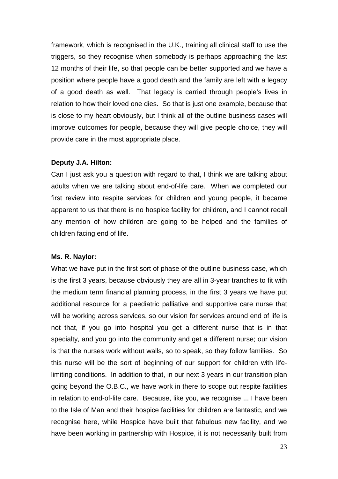framework, which is recognised in the U.K., training all clinical staff to use the triggers, so they recognise when somebody is perhaps approaching the last 12 months of their life, so that people can be better supported and we have a position where people have a good death and the family are left with a legacy of a good death as well. That legacy is carried through people's lives in relation to how their loved one dies. So that is just one example, because that is close to my heart obviously, but I think all of the outline business cases will improve outcomes for people, because they will give people choice, they will provide care in the most appropriate place.

#### **Deputy J.A. Hilton:**

Can I just ask you a question with regard to that, I think we are talking about adults when we are talking about end-of-life care. When we completed our first review into respite services for children and young people, it became apparent to us that there is no hospice facility for children, and I cannot recall any mention of how children are going to be helped and the families of children facing end of life.

#### **Ms. R. Naylor:**

What we have put in the first sort of phase of the outline business case, which is the first 3 years, because obviously they are all in 3-year tranches to fit with the medium term financial planning process, in the first 3 years we have put additional resource for a paediatric palliative and supportive care nurse that will be working across services, so our vision for services around end of life is not that, if you go into hospital you get a different nurse that is in that specialty, and you go into the community and get a different nurse; our vision is that the nurses work without walls, so to speak, so they follow families. So this nurse will be the sort of beginning of our support for children with lifelimiting conditions. In addition to that, in our next 3 years in our transition plan going beyond the O.B.C., we have work in there to scope out respite facilities in relation to end-of-life care. Because, like you, we recognise ... I have been to the Isle of Man and their hospice facilities for children are fantastic, and we recognise here, while Hospice have built that fabulous new facility, and we have been working in partnership with Hospice, it is not necessarily built from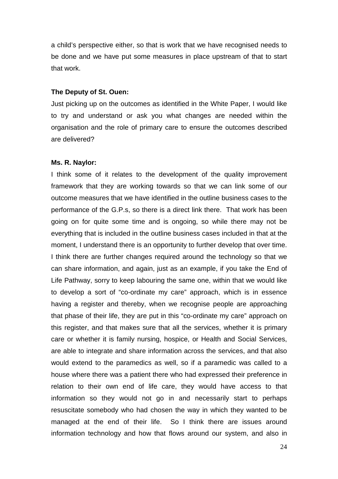a child's perspective either, so that is work that we have recognised needs to be done and we have put some measures in place upstream of that to start that work.

#### **The Deputy of St. Ouen:**

Just picking up on the outcomes as identified in the White Paper, I would like to try and understand or ask you what changes are needed within the organisation and the role of primary care to ensure the outcomes described are delivered?

#### **Ms. R. Naylor:**

I think some of it relates to the development of the quality improvement framework that they are working towards so that we can link some of our outcome measures that we have identified in the outline business cases to the performance of the G.P.s, so there is a direct link there. That work has been going on for quite some time and is ongoing, so while there may not be everything that is included in the outline business cases included in that at the moment, I understand there is an opportunity to further develop that over time. I think there are further changes required around the technology so that we can share information, and again, just as an example, if you take the End of Life Pathway, sorry to keep labouring the same one, within that we would like to develop a sort of "co-ordinate my care" approach, which is in essence having a register and thereby, when we recognise people are approaching that phase of their life, they are put in this "co-ordinate my care" approach on this register, and that makes sure that all the services, whether it is primary care or whether it is family nursing, hospice, or Health and Social Services, are able to integrate and share information across the services, and that also would extend to the paramedics as well, so if a paramedic was called to a house where there was a patient there who had expressed their preference in relation to their own end of life care, they would have access to that information so they would not go in and necessarily start to perhaps resuscitate somebody who had chosen the way in which they wanted to be managed at the end of their life. So I think there are issues around information technology and how that flows around our system, and also in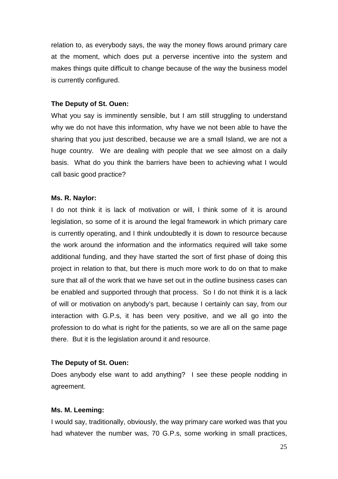relation to, as everybody says, the way the money flows around primary care at the moment, which does put a perverse incentive into the system and makes things quite difficult to change because of the way the business model is currently configured.

#### **The Deputy of St. Ouen:**

What you say is imminently sensible, but I am still struggling to understand why we do not have this information, why have we not been able to have the sharing that you just described, because we are a small Island, we are not a huge country. We are dealing with people that we see almost on a daily basis. What do you think the barriers have been to achieving what I would call basic good practice?

#### **Ms. R. Naylor:**

I do not think it is lack of motivation or will, I think some of it is around legislation, so some of it is around the legal framework in which primary care is currently operating, and I think undoubtedly it is down to resource because the work around the information and the informatics required will take some additional funding, and they have started the sort of first phase of doing this project in relation to that, but there is much more work to do on that to make sure that all of the work that we have set out in the outline business cases can be enabled and supported through that process. So I do not think it is a lack of will or motivation on anybody's part, because I certainly can say, from our interaction with G.P.s, it has been very positive, and we all go into the profession to do what is right for the patients, so we are all on the same page there. But it is the legislation around it and resource.

## **The Deputy of St. Ouen:**

Does anybody else want to add anything? I see these people nodding in agreement.

#### **Ms. M. Leeming:**

I would say, traditionally, obviously, the way primary care worked was that you had whatever the number was, 70 G.P.s, some working in small practices,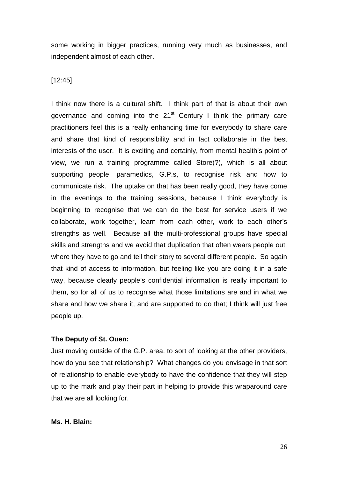some working in bigger practices, running very much as businesses, and independent almost of each other.

## [12:45]

I think now there is a cultural shift. I think part of that is about their own governance and coming into the  $21<sup>st</sup>$  Century I think the primary care practitioners feel this is a really enhancing time for everybody to share care and share that kind of responsibility and in fact collaborate in the best interests of the user. It is exciting and certainly, from mental health's point of view, we run a training programme called Store(?), which is all about supporting people, paramedics, G.P.s, to recognise risk and how to communicate risk. The uptake on that has been really good, they have come in the evenings to the training sessions, because I think everybody is beginning to recognise that we can do the best for service users if we collaborate, work together, learn from each other, work to each other's strengths as well. Because all the multi-professional groups have special skills and strengths and we avoid that duplication that often wears people out, where they have to go and tell their story to several different people. So again that kind of access to information, but feeling like you are doing it in a safe way, because clearly people's confidential information is really important to them, so for all of us to recognise what those limitations are and in what we share and how we share it, and are supported to do that; I think will just free people up.

## **The Deputy of St. Ouen:**

Just moving outside of the G.P. area, to sort of looking at the other providers, how do you see that relationship? What changes do you envisage in that sort of relationship to enable everybody to have the confidence that they will step up to the mark and play their part in helping to provide this wraparound care that we are all looking for.

#### **Ms. H. Blain:**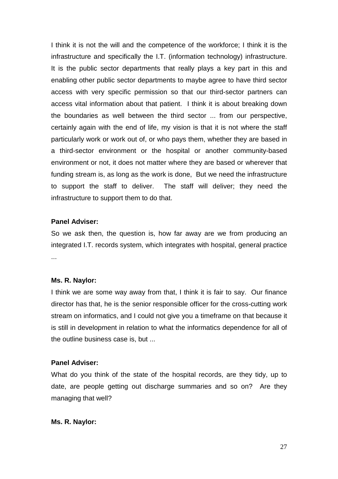I think it is not the will and the competence of the workforce; I think it is the infrastructure and specifically the I.T. (information technology) infrastructure. It is the public sector departments that really plays a key part in this and enabling other public sector departments to maybe agree to have third sector access with very specific permission so that our third-sector partners can access vital information about that patient. I think it is about breaking down the boundaries as well between the third sector ... from our perspective, certainly again with the end of life, my vision is that it is not where the staff particularly work or work out of, or who pays them, whether they are based in a third-sector environment or the hospital or another community-based environment or not, it does not matter where they are based or wherever that funding stream is, as long as the work is done, But we need the infrastructure to support the staff to deliver. The staff will deliver; they need the infrastructure to support them to do that.

#### **Panel Adviser:**

So we ask then, the question is, how far away are we from producing an integrated I.T. records system, which integrates with hospital, general practice ...

#### **Ms. R. Naylor:**

I think we are some way away from that, I think it is fair to say. Our finance director has that, he is the senior responsible officer for the cross-cutting work stream on informatics, and I could not give you a timeframe on that because it is still in development in relation to what the informatics dependence for all of the outline business case is, but ...

#### **Panel Adviser:**

What do you think of the state of the hospital records, are they tidy, up to date, are people getting out discharge summaries and so on? Are they managing that well?

#### **Ms. R. Naylor:**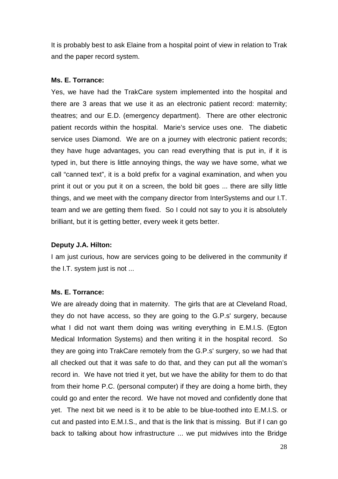It is probably best to ask Elaine from a hospital point of view in relation to Trak and the paper record system.

## **Ms. E. Torrance:**

Yes, we have had the TrakCare system implemented into the hospital and there are 3 areas that we use it as an electronic patient record: maternity; theatres; and our E.D. (emergency department). There are other electronic patient records within the hospital. Marie's service uses one. The diabetic service uses Diamond. We are on a journey with electronic patient records; they have huge advantages, you can read everything that is put in, if it is typed in, but there is little annoying things, the way we have some, what we call "canned text", it is a bold prefix for a vaginal examination, and when you print it out or you put it on a screen, the bold bit goes ... there are silly little things, and we meet with the company director from InterSystems and our I.T. team and we are getting them fixed. So I could not say to you it is absolutely brilliant, but it is getting better, every week it gets better.

## **Deputy J.A. Hilton:**

I am just curious, how are services going to be delivered in the community if the I.T. system just is not ...

## **Ms. E. Torrance:**

We are already doing that in maternity. The girls that are at Cleveland Road, they do not have access, so they are going to the G.P.s' surgery, because what I did not want them doing was writing everything in E.M.I.S. (Egton Medical Information Systems) and then writing it in the hospital record. So they are going into TrakCare remotely from the G.P.s' surgery, so we had that all checked out that it was safe to do that, and they can put all the woman's record in. We have not tried it yet, but we have the ability for them to do that from their home P.C. (personal computer) if they are doing a home birth, they could go and enter the record. We have not moved and confidently done that yet. The next bit we need is it to be able to be blue-toothed into E.M.I.S. or cut and pasted into E.M.I.S., and that is the link that is missing. But if I can go back to talking about how infrastructure ... we put midwives into the Bridge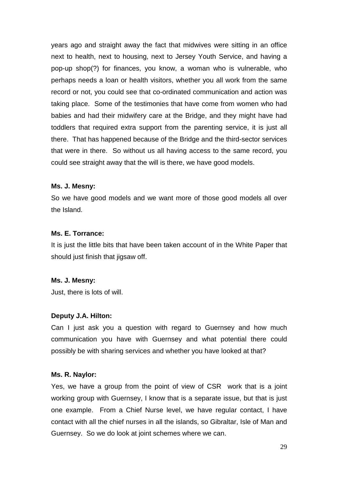years ago and straight away the fact that midwives were sitting in an office next to health, next to housing, next to Jersey Youth Service, and having a pop-up shop(?) for finances, you know, a woman who is vulnerable, who perhaps needs a loan or health visitors, whether you all work from the same record or not, you could see that co-ordinated communication and action was taking place. Some of the testimonies that have come from women who had babies and had their midwifery care at the Bridge, and they might have had toddlers that required extra support from the parenting service, it is just all there. That has happened because of the Bridge and the third-sector services that were in there. So without us all having access to the same record, you could see straight away that the will is there, we have good models.

#### **Ms. J. Mesny:**

So we have good models and we want more of those good models all over the Island.

## **Ms. E. Torrance:**

It is just the little bits that have been taken account of in the White Paper that should just finish that jigsaw off.

#### **Ms. J. Mesny:**

Just, there is lots of will.

#### **Deputy J.A. Hilton:**

Can I just ask you a question with regard to Guernsey and how much communication you have with Guernsey and what potential there could possibly be with sharing services and whether you have looked at that?

#### **Ms. R. Naylor:**

Yes, we have a group from the point of view of CSR work that is a joint working group with Guernsey, I know that is a separate issue, but that is just one example. From a Chief Nurse level, we have regular contact, I have contact with all the chief nurses in all the islands, so Gibraltar, Isle of Man and Guernsey. So we do look at joint schemes where we can.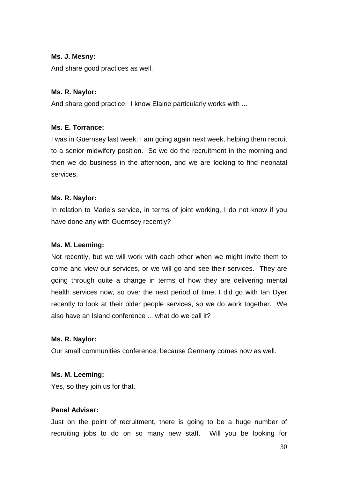#### **Ms. J. Mesny:**

And share good practices as well.

#### **Ms. R. Naylor:**

And share good practice. I know Elaine particularly works with ...

## **Ms. E. Torrance:**

I was in Guernsey last week; I am going again next week, helping them recruit to a senior midwifery position. So we do the recruitment in the morning and then we do business in the afternoon, and we are looking to find neonatal services.

## **Ms. R. Naylor:**

In relation to Marie's service, in terms of joint working, I do not know if you have done any with Guernsey recently?

## **Ms. M. Leeming:**

Not recently, but we will work with each other when we might invite them to come and view our services, or we will go and see their services. They are going through quite a change in terms of how they are delivering mental health services now, so over the next period of time, I did go with Ian Dyer recently to look at their older people services, so we do work together. We also have an Island conference ... what do we call it?

## **Ms. R. Naylor:**

Our small communities conference, because Germany comes now as well.

## **Ms. M. Leeming:**

Yes, so they join us for that.

# **Panel Adviser:**

Just on the point of recruitment, there is going to be a huge number of recruiting jobs to do on so many new staff. Will you be looking for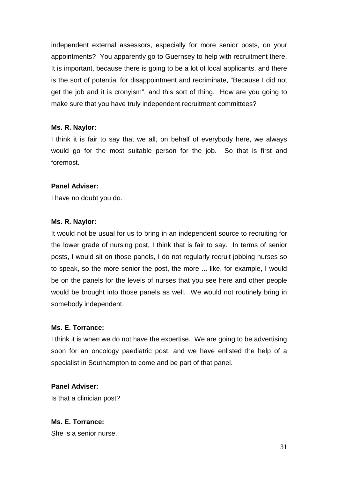independent external assessors, especially for more senior posts, on your appointments? You apparently go to Guernsey to help with recruitment there. It is important, because there is going to be a lot of local applicants, and there is the sort of potential for disappointment and recriminate, "Because I did not get the job and it is cronyism", and this sort of thing. How are you going to make sure that you have truly independent recruitment committees?

## **Ms. R. Naylor:**

I think it is fair to say that we all, on behalf of everybody here, we always would go for the most suitable person for the job. So that is first and foremost.

## **Panel Adviser:**

I have no doubt you do.

## **Ms. R. Naylor:**

It would not be usual for us to bring in an independent source to recruiting for the lower grade of nursing post, I think that is fair to say. In terms of senior posts, I would sit on those panels, I do not regularly recruit jobbing nurses so to speak, so the more senior the post, the more ... like, for example, I would be on the panels for the levels of nurses that you see here and other people would be brought into those panels as well. We would not routinely bring in somebody independent.

## **Ms. E. Torrance:**

I think it is when we do not have the expertise. We are going to be advertising soon for an oncology paediatric post, and we have enlisted the help of a specialist in Southampton to come and be part of that panel.

# **Panel Adviser:**

Is that a clinician post?

# **Ms. E. Torrance:**

She is a senior nurse.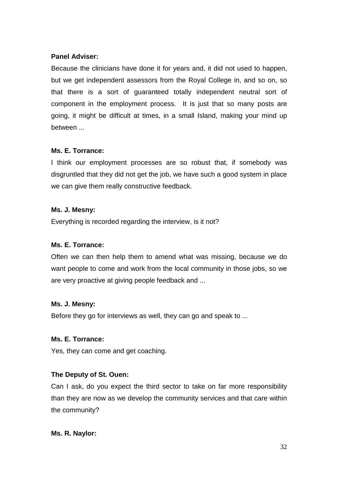## **Panel Adviser:**

Because the clinicians have done it for years and, it did not used to happen, but we get independent assessors from the Royal College in, and so on, so that there is a sort of guaranteed totally independent neutral sort of component in the employment process. It is just that so many posts are going, it might be difficult at times, in a small Island, making your mind up between ...

## **Ms. E. Torrance:**

I think our employment processes are so robust that, if somebody was disgruntled that they did not get the job, we have such a good system in place we can give them really constructive feedback.

## **Ms. J. Mesny:**

Everything is recorded regarding the interview, is it not?

# **Ms. E. Torrance:**

Often we can then help them to amend what was missing, because we do want people to come and work from the local community in those jobs, so we are very proactive at giving people feedback and ...

## **Ms. J. Mesny:**

Before they go for interviews as well, they can go and speak to ...

## **Ms. E. Torrance:**

Yes, they can come and get coaching.

# **The Deputy of St. Ouen:**

Can I ask, do you expect the third sector to take on far more responsibility than they are now as we develop the community services and that care within the community?

## **Ms. R. Naylor:**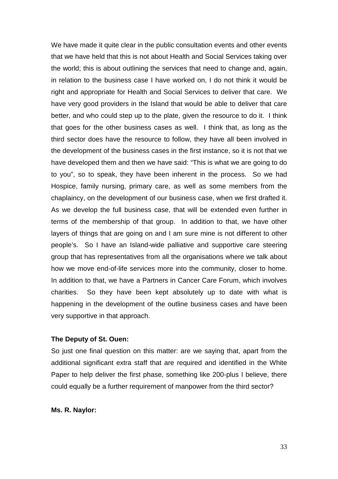We have made it quite clear in the public consultation events and other events that we have held that this is not about Health and Social Services taking over the world; this is about outlining the services that need to change and, again, in relation to the business case I have worked on, I do not think it would be right and appropriate for Health and Social Services to deliver that care. We have very good providers in the Island that would be able to deliver that care better, and who could step up to the plate, given the resource to do it. I think that goes for the other business cases as well. I think that, as long as the third sector does have the resource to follow, they have all been involved in the development of the business cases in the first instance, so it is not that we have developed them and then we have said: "This is what we are going to do to you", so to speak, they have been inherent in the process. So we had Hospice, family nursing, primary care, as well as some members from the chaplaincy, on the development of our business case, when we first drafted it. As we develop the full business case, that will be extended even further in terms of the membership of that group. In addition to that, we have other layers of things that are going on and I am sure mine is not different to other people's. So I have an Island-wide palliative and supportive care steering group that has representatives from all the organisations where we talk about how we move end-of-life services more into the community, closer to home. In addition to that, we have a Partners in Cancer Care Forum, which involves charities. So they have been kept absolutely up to date with what is happening in the development of the outline business cases and have been very supportive in that approach.

#### **The Deputy of St. Ouen:**

So just one final question on this matter: are we saying that, apart from the additional significant extra staff that are required and identified in the White Paper to help deliver the first phase, something like 200-plus I believe, there could equally be a further requirement of manpower from the third sector?

**Ms. R. Naylor:**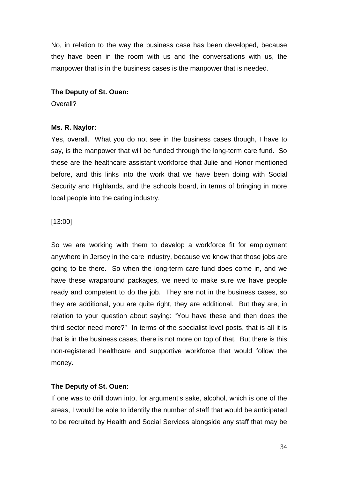No, in relation to the way the business case has been developed, because they have been in the room with us and the conversations with us, the manpower that is in the business cases is the manpower that is needed.

#### **The Deputy of St. Ouen:**

Overall?

## **Ms. R. Naylor:**

Yes, overall. What you do not see in the business cases though, I have to say, is the manpower that will be funded through the long-term care fund. So these are the healthcare assistant workforce that Julie and Honor mentioned before, and this links into the work that we have been doing with Social Security and Highlands, and the schools board, in terms of bringing in more local people into the caring industry.

## [13:00]

So we are working with them to develop a workforce fit for employment anywhere in Jersey in the care industry, because we know that those jobs are going to be there. So when the long-term care fund does come in, and we have these wraparound packages, we need to make sure we have people ready and competent to do the job. They are not in the business cases, so they are additional, you are quite right, they are additional. But they are, in relation to your question about saying: "You have these and then does the third sector need more?" In terms of the specialist level posts, that is all it is that is in the business cases, there is not more on top of that. But there is this non-registered healthcare and supportive workforce that would follow the money.

## **The Deputy of St. Ouen:**

If one was to drill down into, for argument's sake, alcohol, which is one of the areas, I would be able to identify the number of staff that would be anticipated to be recruited by Health and Social Services alongside any staff that may be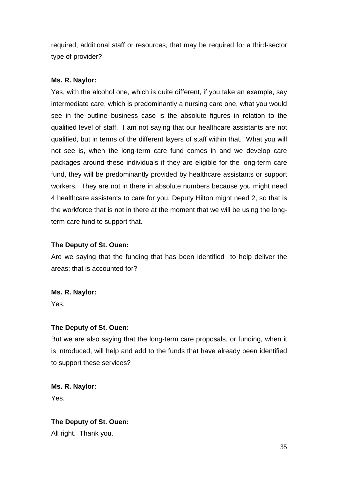required, additional staff or resources, that may be required for a third-sector type of provider?

# **Ms. R. Naylor:**

Yes, with the alcohol one, which is quite different, if you take an example, say intermediate care, which is predominantly a nursing care one, what you would see in the outline business case is the absolute figures in relation to the qualified level of staff. I am not saying that our healthcare assistants are not qualified, but in terms of the different layers of staff within that. What you will not see is, when the long-term care fund comes in and we develop care packages around these individuals if they are eligible for the long-term care fund, they will be predominantly provided by healthcare assistants or support workers. They are not in there in absolute numbers because you might need 4 healthcare assistants to care for you, Deputy Hilton might need 2, so that is the workforce that is not in there at the moment that we will be using the longterm care fund to support that.

# **The Deputy of St. Ouen:**

Are we saying that the funding that has been identified to help deliver the areas; that is accounted for?

## **Ms. R. Naylor:**

Yes.

# **The Deputy of St. Ouen:**

But we are also saying that the long-term care proposals, or funding, when it is introduced, will help and add to the funds that have already been identified to support these services?

**Ms. R. Naylor:** Yes.

**The Deputy of St. Ouen:** All right. Thank you.

35